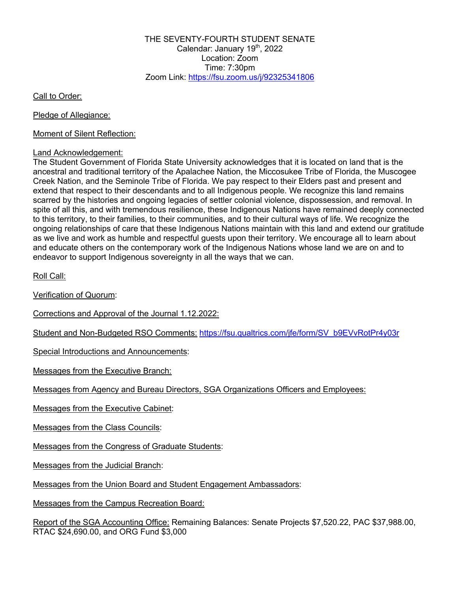THE SEVENTY-FOURTH STUDENT SENATE Calendar: January 19<sup>th</sup>, 2022 Location: Zoom Time: 7:30pm Zoom Link: https://fsu.zoom.us/j/92325341806

Call to Order:

Pledge of Allegiance:

Moment of Silent Reflection:

#### Land Acknowledgement:

The Student Government of Florida State University acknowledges that it is located on land that is the ancestral and traditional territory of the Apalachee Nation, the Miccosukee Tribe of Florida, the Muscogee Creek Nation, and the Seminole Tribe of Florida. We pay respect to their Elders past and present and extend that respect to their descendants and to all Indigenous people. We recognize this land remains scarred by the histories and ongoing legacies of settler colonial violence, dispossession, and removal. In spite of all this, and with tremendous resilience, these Indigenous Nations have remained deeply connected to this territory, to their families, to their communities, and to their cultural ways of life. We recognize the ongoing relationships of care that these Indigenous Nations maintain with this land and extend our gratitude as we live and work as humble and respectful guests upon their territory. We encourage all to learn about and educate others on the contemporary work of the Indigenous Nations whose land we are on and to endeavor to support Indigenous sovereignty in all the ways that we can.

Roll Call:

Verification of Quorum:

Corrections and Approval of the Journal 1.12.2022:

Student and Non-Budgeted RSO Comments: https://fsu.qualtrics.com/jfe/form/SV\_b9EVvRotPr4y03r

Special Introductions and Announcements:

Messages from the Executive Branch:

Messages from Agency and Bureau Directors, SGA Organizations Officers and Employees:

Messages from the Executive Cabinet:

Messages from the Class Councils:

Messages from the Congress of Graduate Students:

Messages from the Judicial Branch:

Messages from the Union Board and Student Engagement Ambassadors:

Messages from the Campus Recreation Board:

Report of the SGA Accounting Office: Remaining Balances: Senate Projects \$7,520.22, PAC \$37,988.00, RTAC \$24,690.00, and ORG Fund \$3,000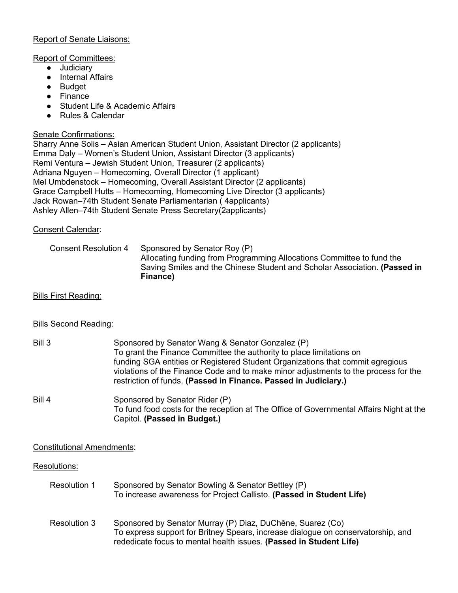# Report of Senate Liaisons:

### Report of Committees:

- Judiciary
- Internal Affairs
- Budget
- Finance
- Student Life & Academic Affairs
- Rules & Calendar

# Senate Confirmations:

Sharry Anne Solis – Asian American Student Union, Assistant Director (2 applicants) Emma Daly – Women's Student Union, Assistant Director (3 applicants) Remi Ventura – Jewish Student Union, Treasurer (2 applicants) Adriana Nguyen – Homecoming, Overall Director (1 applicant) Mel Umbdenstock – Homecoming, Overall Assistant Director (2 applicants) Grace Campbell Hutts – Homecoming, Homecoming Live Director (3 applicants) Jack Rowan–74th Student Senate Parliamentarian ( 4applicants) Ashley Allen–74th Student Senate Press Secretary(2applicants)

# Consent Calendar:

# Consent Resolution 4 Sponsored by Senator Roy (P) Allocating funding from Programming Allocations Committee to fund the Saving Smiles and the Chinese Student and Scholar Association. **(Passed in Finance)**

### Bills First Reading:

# Bills Second Reading:

| Bill 3 | Sponsored by Senator Wang & Senator Gonzalez (P)                                    |
|--------|-------------------------------------------------------------------------------------|
|        | To grant the Finance Committee the authority to place limitations on                |
|        | funding SGA entities or Registered Student Organizations that commit egregious      |
|        | violations of the Finance Code and to make minor adjustments to the process for the |
|        | restriction of funds. (Passed in Finance. Passed in Judiciary.)                     |
|        |                                                                                     |

# Bill 4 Sponsored by Senator Rider (P) To fund food costs for the reception at The Office of Governmental Affairs Night at the Capitol. **(Passed in Budget.)**

# Constitutional Amendments:

# Resolutions:

| Resolution 1 | Sponsored by Senator Bowling & Senator Bettley (P)                   |
|--------------|----------------------------------------------------------------------|
|              | To increase awareness for Project Callisto. (Passed in Student Life) |

Resolution 3 Sponsored by Senator Murray (P) Diaz, DuChêne, Suarez (Co) To express support for Britney Spears, increase dialogue on conservatorship, and rededicate focus to mental health issues. **(Passed in Student Life)**